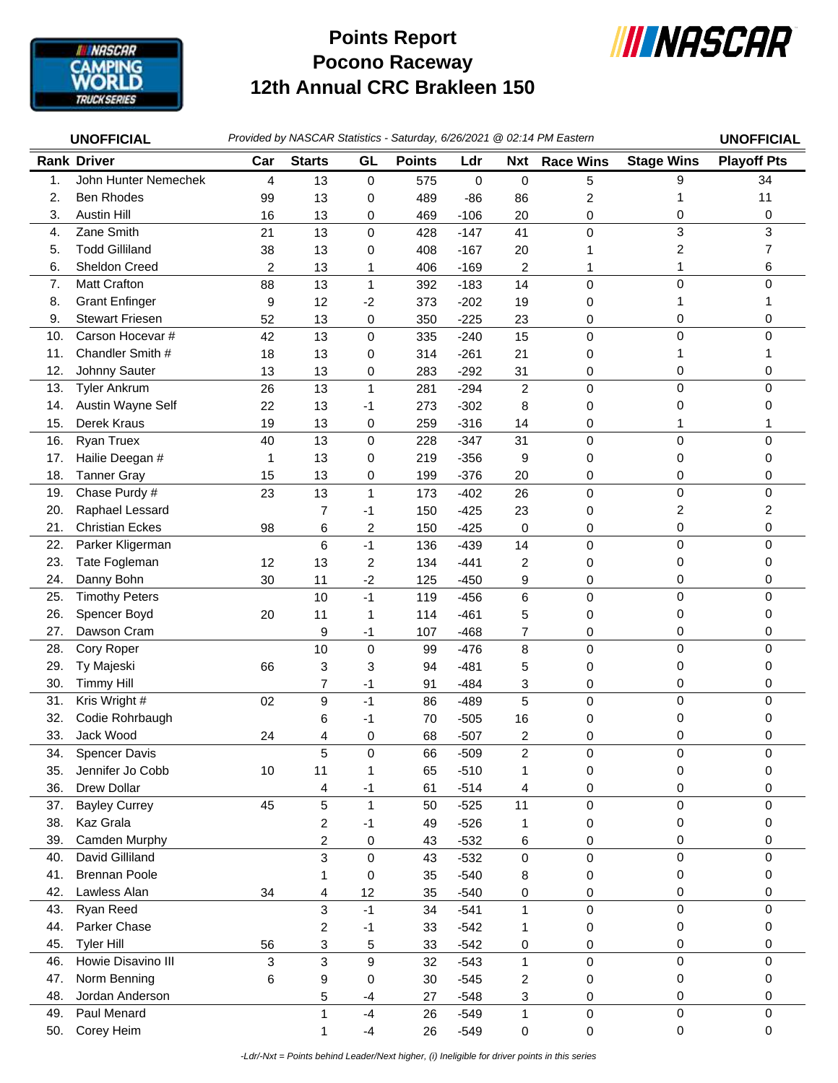

## **Pocono Raceway 12th Annual CRC Brakleen 150 Points Report**



| <b>UNOFFICIAL</b> |                                          | Provided by NASCAR Statistics - Saturday, 6/26/2021 @ 02:14 PM Eastern |                         |                      |               |                  |                         |                  |                   | <b>UNOFFICIAL</b>  |
|-------------------|------------------------------------------|------------------------------------------------------------------------|-------------------------|----------------------|---------------|------------------|-------------------------|------------------|-------------------|--------------------|
|                   | <b>Rank Driver</b>                       | Car                                                                    | <b>Starts</b>           | GL                   | <b>Points</b> | Ldr              | Nxt                     | <b>Race Wins</b> | <b>Stage Wins</b> | <b>Playoff Pts</b> |
| 1.                | John Hunter Nemechek                     | 4                                                                      | 13                      | $\mathsf{O}\xspace$  | 575           | 0                | $\pmb{0}$               | 5                | 9                 | 34                 |
| 2.                | <b>Ben Rhodes</b>                        | 99                                                                     | 13                      | 0                    | 489           | $-86$            | 86                      | $\overline{c}$   | 1                 | 11                 |
| 3.                | <b>Austin Hill</b>                       | 16                                                                     | 13                      | 0                    | 469           | $-106$           | 20                      | 0                | 0                 | 0                  |
| 4.                | Zane Smith                               | 21                                                                     | 13                      | $\mathsf 0$          | 428           | $-147$           | 41                      | $\mathbf 0$      | 3                 | 3                  |
| 5.                | <b>Todd Gilliland</b>                    | 38                                                                     | 13                      | 0                    | 408           | $-167$           | 20                      |                  | 2                 | 7                  |
| 6.                | Sheldon Creed                            | 2                                                                      | 13                      | 1                    | 406           | $-169$           | 2                       | 1                | 1                 | 6                  |
| 7.                | <b>Matt Crafton</b>                      | 88                                                                     | 13                      | $\mathbf{1}$         | 392           | $-183$           | 14                      | $\mathbf 0$      | 0                 | $\Omega$           |
| 8.                | <b>Grant Enfinger</b>                    | 9                                                                      | 12                      | $-2$                 | 373           | $-202$           | 19                      | 0                | 1                 |                    |
| 9.                | <b>Stewart Friesen</b>                   | 52                                                                     | 13                      | 0                    | 350           | $-225$           | 23                      | 0                | 0                 | 0                  |
| 10.               | Carson Hocevar #                         | 42                                                                     | 13                      | 0                    | 335           | $-240$           | 15                      | $\mathbf 0$      | 0                 | $\Omega$           |
| 11.               | Chandler Smith #                         | 18                                                                     | 13                      | 0                    | 314           | $-261$           | 21                      | 0                | 1                 |                    |
| 12.               | Johnny Sauter                            | 13                                                                     | 13                      | 0                    | 283           | $-292$           | 31                      | 0                | 0                 | 0                  |
| 13.               | <b>Tyler Ankrum</b>                      | 26                                                                     | 13                      | $\mathbf 1$          | 281           | $-294$           | $\overline{c}$          | $\mathbf 0$      | 0                 | 0                  |
| 14.               | Austin Wayne Self                        | 22                                                                     | 13                      | $-1$                 | 273           | $-302$           | 8                       | 0                | 0                 | 0                  |
| 15.               | Derek Kraus                              | 19                                                                     | 13                      | 0                    | 259           | $-316$           | 14                      | 0                | 1                 |                    |
| 16.               | Ryan Truex                               | 40                                                                     | 13                      | $\pmb{0}$            | 228           | $-347$           | 31                      | $\mathbf 0$      | 0                 | $\Omega$           |
| 17.               | Hailie Deegan #                          | 1                                                                      | 13                      | 0                    | 219           | $-356$           | 9                       | 0                | 0                 | 0                  |
| 18.               | <b>Tanner Gray</b>                       | 15                                                                     | 13                      | 0                    | 199           | $-376$           | 20                      | 0                | 0                 | 0                  |
| 19.               | Chase Purdy #                            | 23                                                                     | 13                      | $\mathbf{1}$         | 173           | $-402$           | 26                      | $\mathbf 0$      | 0                 | $\Omega$           |
| 20.               | Raphael Lessard                          |                                                                        | 7                       | $-1$                 | 150           | $-425$           | 23                      | 0                | 2                 | 2                  |
| 21.               | <b>Christian Eckes</b>                   | 98                                                                     | 6                       | $\overline{c}$       | 150           | $-425$           | 0                       | 0                | 0                 | 0                  |
| 22.               | Parker Kligerman                         |                                                                        | 6                       | $-1$                 | 136           | $-439$           | 14                      | 0                | 0                 | $\mathbf 0$        |
| 23.               | Tate Fogleman                            | 12                                                                     | 13                      | 2                    | 134           | $-441$           | 2                       | 0                | 0                 | 0                  |
| 24.               | Danny Bohn                               | 30                                                                     | 11                      | $-2$                 | 125           | $-450$           | 9                       | 0                | 0                 | 0                  |
| 25.               | <b>Timothy Peters</b>                    |                                                                        | 10                      | $-1$                 | 119           | $-456$           | 6                       | 0                | 0                 | $\Omega$           |
| 26.               | Spencer Boyd                             | 20                                                                     | 11                      | 1                    | 114           | $-461$           | 5                       | 0                | 0                 | 0                  |
| 27.               | Dawson Cram                              |                                                                        | 9                       | $-1$                 | 107           | $-468$           | $\overline{7}$          | 0                | 0                 | 0                  |
| 28.               | Cory Roper                               |                                                                        | 10                      | $\pmb{0}$            | 99            | $-476$           | 8                       | $\mathbf 0$      | 0                 | 0                  |
| 29.               | Ty Majeski                               | 66                                                                     | 3                       | 3                    | 94            | $-481$           | 5                       | 0                | 0                 | 0                  |
| 30.               | <b>Timmy Hill</b>                        |                                                                        | 7                       | $-1$                 | 91            | $-484$           | 3                       | 0                | 0                 | 0                  |
| 31.               | Kris Wright #                            | 02                                                                     | 9                       | $-1$                 | 86            | $-489$           | 5                       | $\mathsf 0$      | 0                 | 0                  |
| 32.               | Codie Rohrbaugh                          |                                                                        | 6                       | -1                   | 70            | $-505$           | 16                      | 0                | 0                 | 0                  |
| 33.               | Jack Wood                                | 24                                                                     | 4                       | 0                    | 68            | $-507$           | 2                       | 0                | 0                 | 0                  |
| 34.               | <b>Spencer Davis</b><br>Jennifer Jo Cobb |                                                                        | 5                       | 0                    | 66            | $-509$           | $\overline{c}$          | 0                | 0                 | 0                  |
| 35.               | Drew Dollar                              | 10                                                                     | 11                      | 1                    | 65            | $-510$           | 1                       | 0                | 0                 | 0                  |
| 36.<br>37.        | <b>Bayley Currey</b>                     | 45                                                                     | 4<br>5                  | $-1$<br>$\mathbf{1}$ | 61            | $-514$           | 4<br>11                 | 0<br>$\mathbf 0$ | 0<br>0            | 0<br>0             |
| 38.               | Kaz Grala                                |                                                                        | $\overline{c}$          | $-1$                 | 50<br>49      | $-525$<br>$-526$ | 1                       |                  | 0                 | 0                  |
| 39.               | Camden Murphy                            |                                                                        | $\overline{c}$          | 0                    | 43            | $-532$           | 6                       | 0<br>0           | 0                 | 0                  |
| 40.               | David Gilliland                          |                                                                        | 3                       | $\pmb{0}$            | 43            | $-532$           | 0                       | 0                | 0                 | $\Omega$           |
| 41.               | <b>Brennan Poole</b>                     |                                                                        | 1                       | 0                    | 35            | $-540$           | 8                       | 0                | 0                 | 0                  |
| 42.               | Lawless Alan                             | 34                                                                     | 4                       | 12                   | 35            | $-540$           | 0                       | 0                | 0                 | 0                  |
| 43.               | Ryan Reed                                |                                                                        | 3                       | $-1$                 | 34            | $-541$           | $\mathbf{1}$            | 0                | 0                 | 0                  |
| 44.               | Parker Chase                             |                                                                        | $\overline{\mathbf{c}}$ | $-1$                 | 33            | $-542$           | 1                       | 0                | 0                 | 0                  |
| 45.               | <b>Tyler Hill</b>                        | 56                                                                     | 3                       | 5                    | 33            | $-542$           | 0                       | $\pmb{0}$        | 0                 | 0                  |
| 46.               | Howie Disavino III                       | 3                                                                      | 3                       | 9                    | 32            | $-543$           | $\mathbf{1}$            | $\mathsf 0$      | 0                 | $\Omega$           |
| 47.               | Norm Benning                             | 6                                                                      | 9                       | 0                    | 30            | $-545$           | $\overline{\mathbf{c}}$ | 0                | 0                 | 0                  |
| 48.               | Jordan Anderson                          |                                                                        | 5                       | $-4$                 | 27            | $-548$           | 3                       | 0                | 0                 | 0                  |
| 49.               | Paul Menard                              |                                                                        | $\mathbf{1}$            | $-4$                 | 26            | $-549$           | $\mathbf 1$             | 0                | 0                 | 0                  |
| 50.               | Corey Heim                               |                                                                        | 1                       | $-4$                 | 26            | $-549$           | 0                       | 0                | 0                 | 0                  |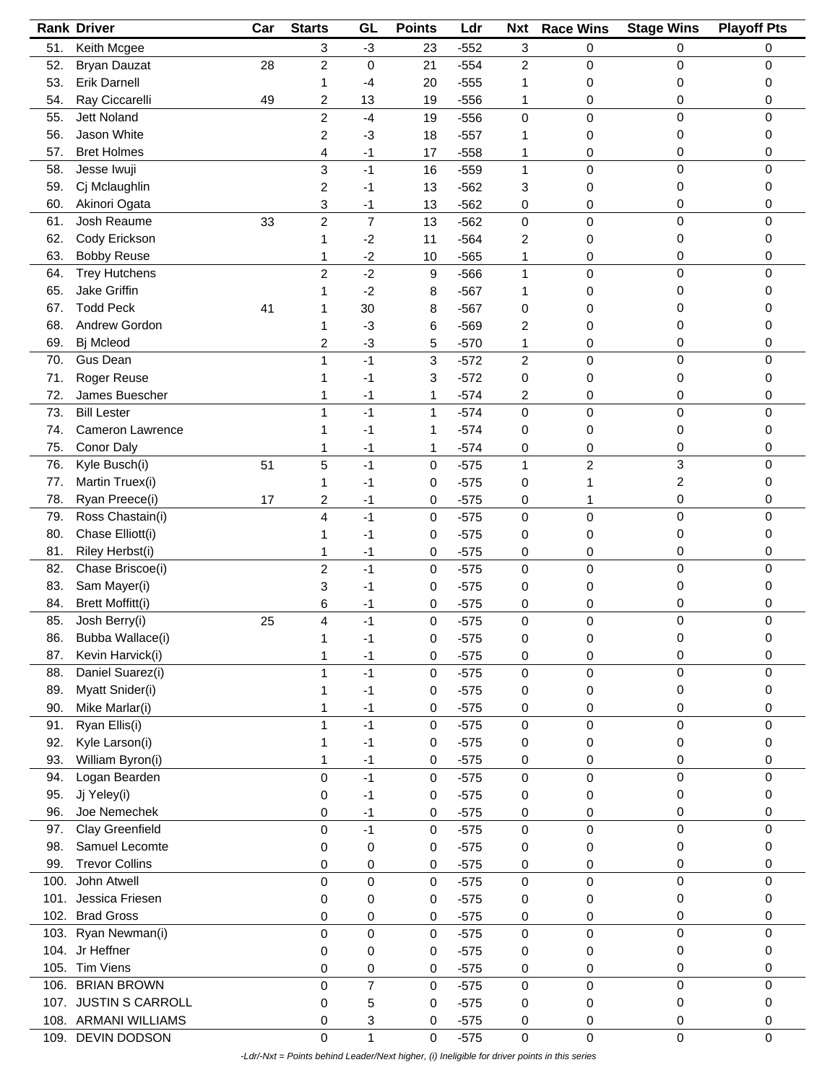|      | <b>Rank Driver</b>      | Car | <b>Starts</b>           | GL             | <b>Points</b> | Ldr    | <b>Nxt</b>     | <b>Race Wins</b>        | <b>Stage Wins</b> | <b>Playoff Pts</b> |
|------|-------------------------|-----|-------------------------|----------------|---------------|--------|----------------|-------------------------|-------------------|--------------------|
| 51.  | Keith Mcgee             |     | 3                       | $-3$           | 23            | $-552$ | 3              | 0                       | 0                 | 0                  |
| 52.  | <b>Bryan Dauzat</b>     | 28  | $\overline{c}$          | $\mathbf 0$    | 21            | $-554$ | $\overline{c}$ | 0                       | 0                 | 0                  |
| 53.  | <b>Erik Darnell</b>     |     | 1                       | $-4$           | 20            | $-555$ | 1              | 0                       | 0                 | 0                  |
| 54.  | Ray Ciccarelli          | 49  | 2                       | 13             | 19            | $-556$ | 1              | 0                       | 0                 | 0                  |
| 55.  | <b>Jett Noland</b>      |     | $\overline{2}$          | $-4$           | 19            | $-556$ | 0              | 0                       | 0                 | 0                  |
| 56.  | Jason White             |     |                         |                |               |        | 1              |                         | 0                 | 0                  |
|      |                         |     | 2                       | $-3$           | 18            | $-557$ |                | 0                       |                   |                    |
| 57.  | <b>Bret Holmes</b>      |     | 4                       | $-1$           | 17            | $-558$ | 1              | 0                       | 0                 | 0                  |
| 58.  | Jesse Iwuji             |     | 3                       | $-1$           | 16            | $-559$ | 1              | 0                       | $\mathbf 0$       | 0                  |
| 59.  | Cj Mclaughlin           |     | 2                       | $-1$           | 13            | $-562$ | 3              | 0                       | 0                 | 0                  |
| 60.  | Akinori Ogata           |     | 3                       | $-1$           | 13            | $-562$ | 0              | 0                       | 0                 | 0                  |
| 61.  | Josh Reaume             | 33  | $\overline{\mathbf{c}}$ | $\overline{7}$ | 13            | $-562$ | 0              | 0                       | $\pmb{0}$         | 0                  |
| 62.  | Cody Erickson           |     | 1                       | $-2$           | 11            | $-564$ | 2              | 0                       | 0                 | 0                  |
| 63.  | <b>Bobby Reuse</b>      |     | 1                       | $-2$           | 10            | $-565$ | 1              | 0                       | 0                 | 0                  |
| 64.  | <b>Trey Hutchens</b>    |     | $\overline{c}$          | $-2$           | 9             | $-566$ | 1              | 0                       | 0                 | 0                  |
| 65.  | Jake Griffin            |     |                         | $-2$           | 8             | $-567$ | 1              | 0                       | 0                 | 0                  |
| 67.  | <b>Todd Peck</b>        | 41  |                         | 30             | 8             | $-567$ | 0              | 0                       | 0                 | 0                  |
| 68.  | Andrew Gordon           |     |                         | $-3$           | 6             | $-569$ | 2              | 0                       | 0                 | 0                  |
| 69.  | Bj Mcleod               |     | 2                       | $-3$           | 5             | $-570$ | 1              | 0                       | 0                 | 0                  |
| 70.  | Gus Dean                |     | 1                       | $-1$           | 3             | $-572$ | $\overline{c}$ | 0                       | 0                 | 0                  |
| 71.  | Roger Reuse             |     |                         | -1             | 3             | $-572$ | 0              | 0                       | 0                 | 0                  |
| 72.  | James Buescher          |     |                         |                |               | $-574$ |                |                         | 0                 | 0                  |
|      |                         |     | 1                       | -1<br>$-1$     | 1             |        | 2              | 0                       |                   |                    |
| 73.  | <b>Bill Lester</b>      |     | 1                       |                | 1             | $-574$ | 0              | $\mathsf 0$             | 0                 | 0                  |
| 74.  | <b>Cameron Lawrence</b> |     |                         | -1             | 1             | $-574$ | 0              | 0                       | 0                 | 0                  |
| 75.  | Conor Daly              |     | 1                       | -1             | 1             | $-574$ | 0              | 0                       | 0                 | 0                  |
| 76.  | Kyle Busch(i)           | 51  | 5                       | $-1$           | 0             | $-575$ | 1              | $\overline{\mathbf{c}}$ | 3                 | 0                  |
| 77.  | Martin Truex(i)         |     | 1                       | $-1$           | 0             | $-575$ | 0              |                         | 2                 | 0                  |
| 78.  | Ryan Preece(i)          | 17  | 2                       | $-1$           | 0             | $-575$ | 0              | 1                       | 0                 | 0                  |
| 79.  | Ross Chastain(i)        |     | 4                       | $-1$           | 0             | $-575$ | $\mathbf 0$    | $\mathsf 0$             | $\mathbf 0$       | 0                  |
| 80.  | Chase Elliott(i)        |     | 1                       | -1             | 0             | $-575$ | 0              | 0                       | 0                 | 0                  |
| 81.  | Riley Herbst(i)         |     | 1                       | -1             | 0             | $-575$ | 0              | 0                       | 0                 | 0                  |
| 82.  | Chase Briscoe(i)        |     | 2                       | $-1$           | 0             | $-575$ | 0              | 0                       | 0                 | 0                  |
| 83.  | Sam Mayer(i)            |     | 3                       | -1             | 0             | $-575$ | 0              | 0                       | 0                 | 0                  |
| 84.  | <b>Brett Moffitt(i)</b> |     | 6                       | -1             | 0             | $-575$ | 0              | 0                       | 0                 | 0                  |
| 85.  | Josh Berry(i)           | 25  | 4                       | $-1$           | 0             | $-575$ | $\mathbf 0$    | 0                       | $\mathbf 0$       | 0                  |
| 86.  | Bubba Wallace(i)        |     | $\overline{A}$          | -1             | 0             | $-575$ | $\mathbf 0$    | 0                       | 0                 | 0                  |
| 87.  | Kevin Harvick(i)        |     | 1                       | $-1$           | 0             | $-575$ | 0              | 0                       | 0                 | 0                  |
| 88.  | Daniel Suarez(i)        |     | 1                       | $-1$           | 0             | $-575$ | $\mathbf 0$    | $\mathbf 0$             | 0                 | 0                  |
| 89.  | Myatt Snider(i)         |     |                         |                |               |        |                |                         | 0                 | 0                  |
|      |                         |     | 1                       | -1             | 0             | $-575$ | 0              | 0                       |                   |                    |
| 90.  | Mike Marlar(i)          |     | 1                       | $-1$           | 0             | $-575$ | 0              | 0                       | 0                 | 0                  |
| 91.  | Ryan Ellis(i)           |     | 1                       | $-1$           | 0             | $-575$ | $\pmb{0}$      | $\mathbf 0$             | $\mathbf 0$       | $\Omega$           |
| 92.  | Kyle Larson(i)          |     | 1                       | $-1$           | 0             | $-575$ | 0              | 0                       | 0                 | 0                  |
| 93.  | William Byron(i)        |     | 1                       | $-1$           | 0             | $-575$ | 0              | 0                       | 0                 | 0                  |
| 94.  | Logan Bearden           |     | 0                       | $-1$           | 0             | $-575$ | $\pmb{0}$      | $\mathbf 0$             | $\pmb{0}$         | 0                  |
| 95.  | Jj Yeley(i)             |     | 0                       | -1             | 0             | $-575$ | 0              | 0                       | 0                 | 0                  |
| 96.  | Joe Nemechek            |     | 0                       | -1             | 0             | $-575$ | 0              | 0                       | 0                 | 0                  |
| 97.  | Clay Greenfield         |     | 0                       | $-1$           | 0             | $-575$ | 0              | 0                       | 0                 | 0                  |
| 98.  | Samuel Lecomte          |     | 0                       | 0              | 0             | $-575$ | 0              | 0                       | 0                 | 0                  |
| 99.  | <b>Trevor Collins</b>   |     | 0                       | 0              | 0             | $-575$ | 0              | 0                       | 0                 | 0                  |
| 100. | John Atwell             |     | 0                       | 0              | 0             | $-575$ | $\pmb{0}$      | 0                       | 0                 | 0                  |
| 101. | Jessica Friesen         |     | 0                       | 0              | 0             | $-575$ | 0              | 0                       | 0                 | 0                  |
| 102. | <b>Brad Gross</b>       |     | 0                       | 0              | 0             | $-575$ | 0              | 0                       | 0                 | 0                  |
|      | 103. Ryan Newman(i)     |     | 0                       | 0              | 0             | $-575$ | $\pmb{0}$      | $\mathbf 0$             | 0                 | 0                  |
|      | 104. Jr Heffner         |     |                         |                |               |        |                |                         | 0                 | 0                  |
|      | Tim Viens               |     | 0                       | 0              | 0             | $-575$ | 0              | 0                       |                   |                    |
| 105. |                         |     | 0                       | 0              | 0             | $-575$ | 0              | 0                       | 0                 | 0                  |
| 106. | <b>BRIAN BROWN</b>      |     | 0                       | $\overline{7}$ | 0             | $-575$ | 0              | 0                       | $\pmb{0}$         | 0                  |
|      | 107. JUSTIN S CARROLL   |     | 0                       | 5              | 0             | $-575$ | 0              | 0                       | 0                 | 0                  |
|      | 108. ARMANI WILLIAMS    |     | 0                       | 3              | 0             | $-575$ | 0              | 0                       | 0                 | 0                  |
| 109. | DEVIN DODSON            |     | 0                       | $\mathbf{1}$   | 0             | $-575$ | 0              | 0                       | $\mathbf 0$       | 0                  |

 *-Ldr/-Nxt = Points behind Leader/Next higher, (i) Ineligible for driver points in this series*